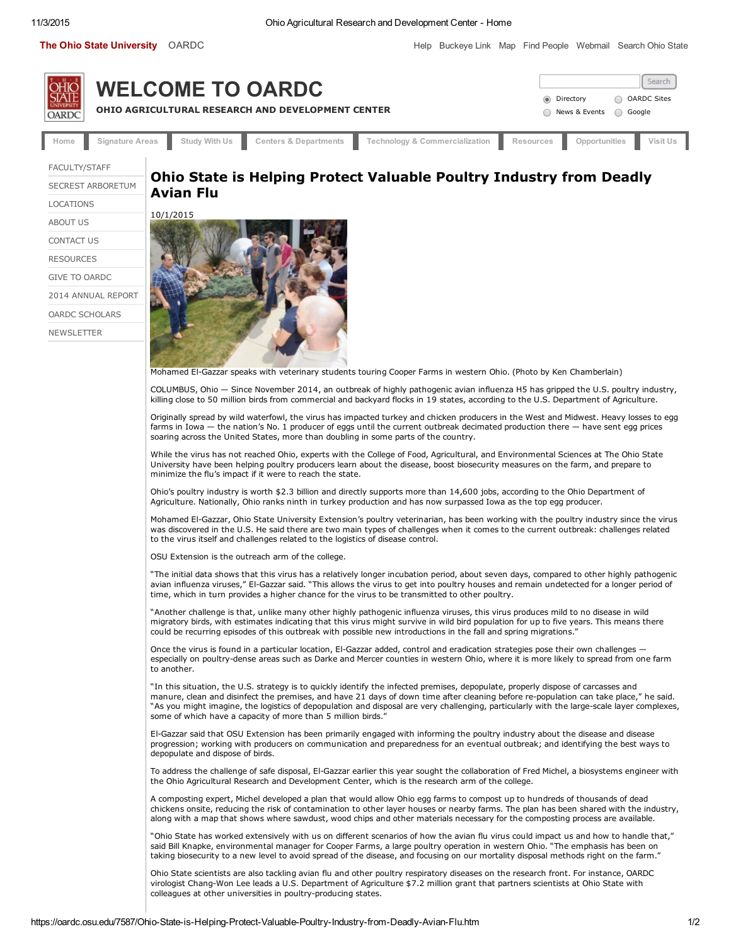The Ohio State [University](http://www.osu.edu/) [OARDC](http://www.oardc.osu.edu/) **[Help](http://www.osu.edu/help.php) [Buckeye](http://buckeyelink.osu.edu/) Link [Map](http://www.osu.edu/map/) Find [People](http://www.osu.edu/findpeople.php) [Webmail](https://webmail.osu.edu/) [Search](http://www.osu.edu/search.php) Ohio State** 



[FACULTY/STAFF](http://oardc.osu.edu/centernet) SECREST [ARBORETUM](http://secrest.osu.edu/) [LOCATIONS](http://www.oardc.ohio-state.edu/secondary2/Maps.htm) [ABOUT](http://www.oardc.ohio-state.edu/secondary2/About_Us.htm) US [CONTACT](http://www.oardc.ohio-state.edu/address/Department_List.htm) US [RESOURCES](http://www.oardc.ohio-state.edu/secondary/Resources.htm) GIVE TO [OARDC](https://www.giveto.osu.edu/igive/OnlineGiving/category/oardc.aspx?num=faes&coll=oardc) 2014 [ANNUAL](http://oardc.osu.edu/images/2014_OARDC_Quad_AR_final_pages.pdf) REPORT OARDC [SCHOLARS](http://www.oardc.ohio-state.edu/scholars) **[NEWSLETTER](http://oardcreport.osu.edu/)** 

## Ohio State is Helping Protect Valuable Poultry Industry from Deadly Avian Flu



Mohamed ElGazzar speaks with [veterinary](http://cfaes.osu.edu/sites/cfaes_main/files/site-library/site-images/news/El-Gazzar_0.jpg) students touring Cooper Farms in western Ohio. (Photo by Ken Chamberlain)

COLUMBUS, Ohio — Since November 2014, an outbreak of highly pathogenic avian influenza H5 has gripped the U.S. poultry industry, killing close to 50 million birds from commercial and backyard flocks in 19 states, according to the U.S. Department of Agriculture.

Originally spread by wild waterfowl, the virus has impacted turkey and chicken producers in the West and Midwest. Heavy losses to egg farms in Iowa — the nation's No. 1 producer of eggs until the current outbreak decimated production there — have sent egg prices soaring across the United States, more than doubling in some parts of the country.

While the virus has not reached Ohio, experts with the College of Food, Agricultural, and Environmental Sciences at The Ohio State University have been helping poultry producers learn about the disease, boost biosecurity measures on the farm, and prepare to minimize the flu's impact if it were to reach the state.

Ohio's poultry industry is worth \$2.3 billion and directly supports more than 14,600 jobs, according to the Ohio Department of Agriculture. Nationally, Ohio ranks ninth in turkey production and has now surpassed Iowa as the top egg producer.

Mohamed ElGazzar, Ohio State University Extension's poultry veterinarian, has been working with the poultry industry since the virus was discovered in the U.S. He said there are two main types of challenges when it comes to the current outbreak: challenges related to the virus itself and challenges related to the logistics of disease control.

OSU Extension is the outreach arm of the college.

"The initial data shows that this virus has a relatively longer incubation period, about seven days, compared to other highly pathogenic avian influenza viruses," ElGazzar said. "This allows the virus to get into poultry houses and remain undetected for a longer period of time, which in turn provides a higher chance for the virus to be transmitted to other poultry.

"Another challenge is that, unlike many other highly pathogenic influenza viruses, this virus produces mild to no disease in wild migratory birds, with estimates indicating that this virus might survive in wild bird population for up to five years. This means there could be recurring episodes of this outbreak with possible new introductions in the fall and spring migrations.

Once the virus is found in a particular location, El-Gazzar added, control and eradication strategies pose their own challenges especially on poultry-dense areas such as Darke and Mercer counties in western Ohio, where it is more likely to spread from one farm to another.

"In this situation, the U.S. strategy is to quickly identify the infected premises, depopulate, properly dispose of carcasses and manure, clean and disinfect the premises, and have 21 days of down time after cleaning before re-population can take place," he said. "As you might imagine, the logistics of depopulation and disposal are very challenging, particularly with the large-scale layer complexes, some of which have a capacity of more than 5 million birds."

El-Gazzar said that OSU Extension has been primarily engaged with informing the poultry industry about the disease and disease progression; working with producers on communication and preparedness for an eventual outbreak; and identifying the best ways to depopulate and dispose of birds.

To address the challenge of safe disposal, El-Gazzar earlier this year sought the collaboration of Fred Michel, a biosystems engineer with the Ohio Agricultural Research and Development Center, which is the research arm of the college.

A composting expert, Michel developed a plan that would allow Ohio egg farms to compost up to hundreds of thousands of dead chickens onsite, reducing the risk of contamination to other layer houses or nearby farms. The plan has been shared with the industry, along with a map that shows where sawdust, wood chips and other materials necessary for the composting process are available.

"Ohio State has worked extensively with us on different scenarios of how the avian flu virus could impact us and how to handle that," said Bill Knapke, environmental manager for Cooper Farms, a large poultry operation in western Ohio. "The emphasis has been on taking biosecurity to a new level to avoid spread of the disease, and focusing on our mortality disposal methods right on the farm."

Ohio State scientists are also tackling avian flu and other poultry respiratory diseases on the research front. For instance, OARDC virologist Chang-Won Lee leads a U.S. Department of Agriculture \$7.2 million grant that partners scientists at Ohio State with colleagues at other universities in poultry-producing states.